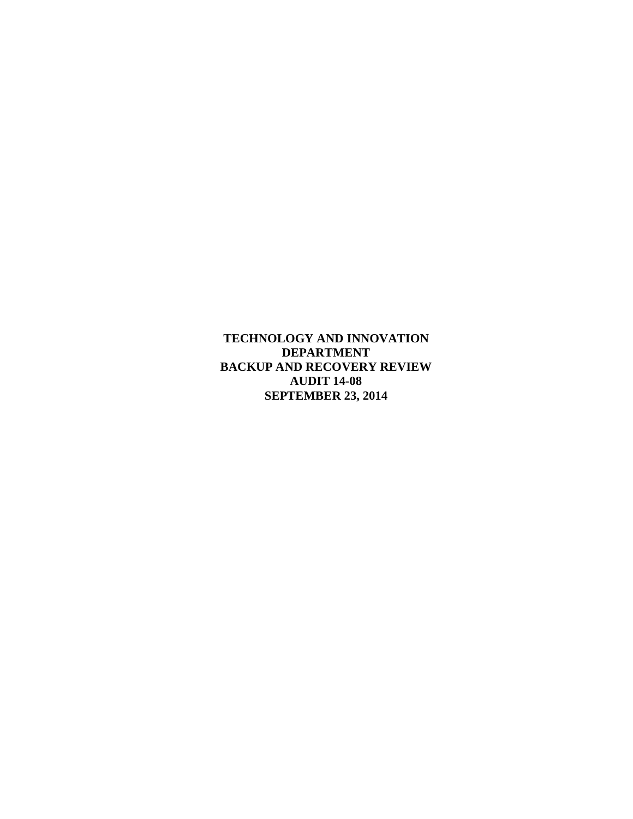**TECHNOLOGY AND INNOVATION DEPARTMENT BACKUP AND RECOVERY REVIEW AUDIT 14-08 SEPTEMBER 23, 2014**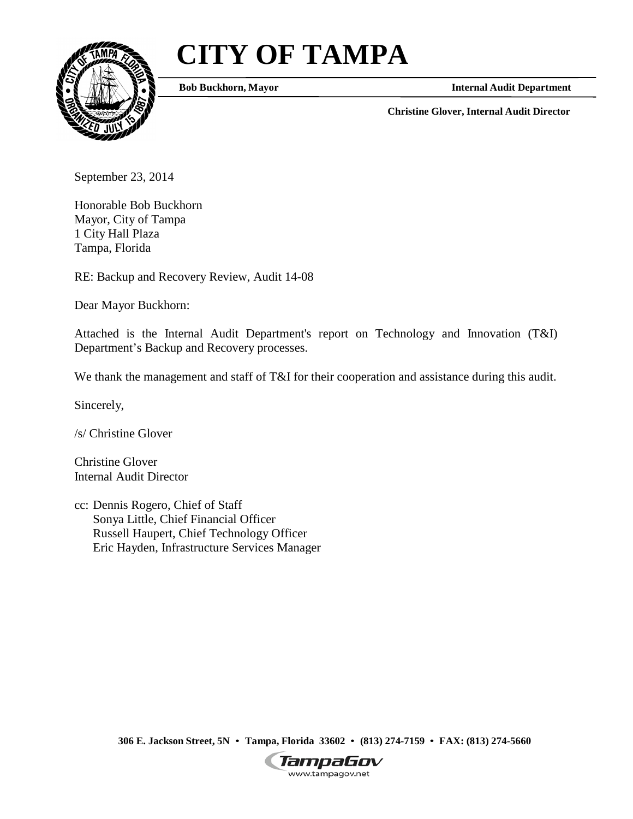# **CITY OF TAMPA**



**Bob Buckhorn, Mayor Internal Audit Department** 

 **Christine Glover, Internal Audit Director** 

September 23, 2014

 Honorable Bob Buckhorn Mayor, City of Tampa 1 City Hall Plaza Tampa, Florida

RE: Backup and Recovery Review, Audit 14-08

Dear Mayor Buckhorn:

 Attached is the Internal Audit Department's report on Technology and Innovation (T&I) Department's Backup and Recovery processes.

We thank the management and staff of T&I for their cooperation and assistance during this audit.

Sincerely,

/s/ Christine Glover

 Christine Glover Internal Audit Director

 cc: Dennis Rogero, Chief of Staff Sonya Little, Chief Financial Officer Russell Haupert, Chief Technology Officer Eric Hayden, Infrastructure Services Manager

 **306 E. Jackson Street, 5N** • **Tampa, Florida 33602** • **(813) 274-7159** • **FAX: (813) 274-5660** 

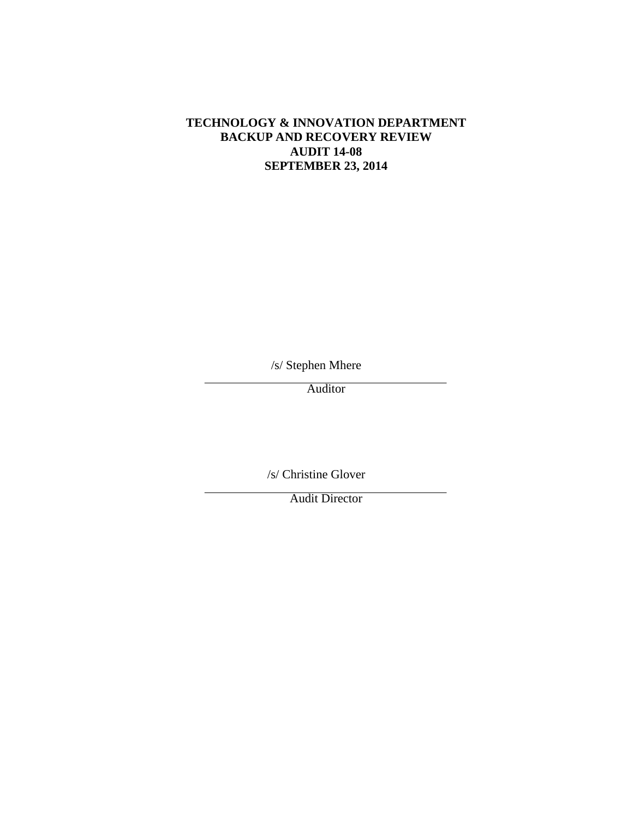# **TECHNOLOGY & INNOVATION DEPARTMENT BACKUP AND RECOVERY REVIEW AUDIT 14-08 SEPTEMBER 23, 2014**

/s/ Stephen Mhere

Auditor

/s/ Christine Glover

Audit Director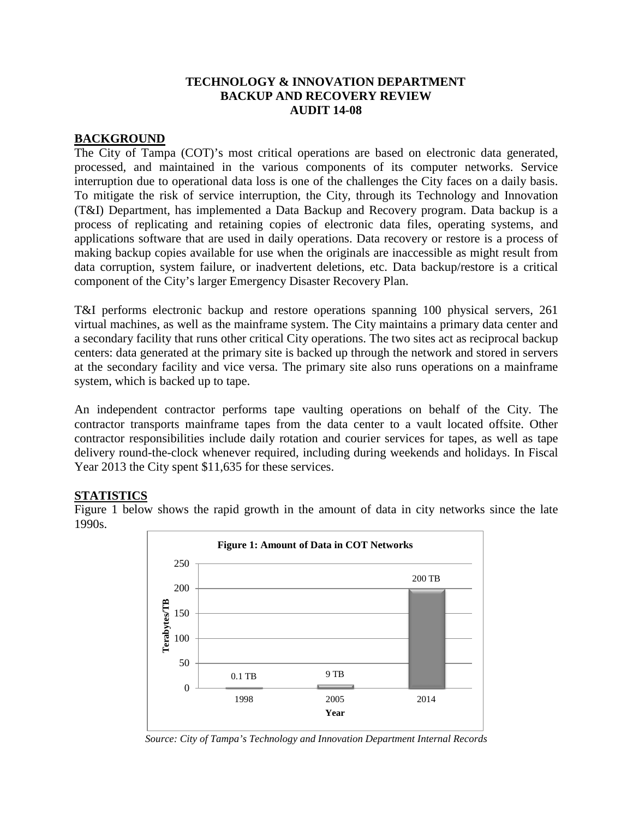#### **TECHNOLOGY & INNOVATION DEPARTMENT BACKUP AND RECOVERY REVIEW AUDIT 14-08**

#### **BACKGROUND**

 process of replicating and retaining copies of electronic data files, operating systems, and The City of Tampa (COT)'s most critical operations are based on electronic data generated, processed, and maintained in the various components of its computer networks. Service interruption due to operational data loss is one of the challenges the City faces on a daily basis. To mitigate the risk of service interruption, the City, through its Technology and Innovation (T&I) Department, has implemented a Data Backup and Recovery program. Data backup is a applications software that are used in daily operations. Data recovery or restore is a process of making backup copies available for use when the originals are inaccessible as might result from data corruption, system failure, or inadvertent deletions, etc. Data backup/restore is a critical component of the City's larger Emergency Disaster Recovery Plan.

 at the secondary facility and vice versa. The primary site also runs operations on a mainframe T&I performs electronic backup and restore operations spanning 100 physical servers, 261 virtual machines, as well as the mainframe system. The City maintains a primary data center and a secondary facility that runs other critical City operations. The two sites act as reciprocal backup centers: data generated at the primary site is backed up through the network and stored in servers system, which is backed up to tape.

An independent contractor performs tape vaulting operations on behalf of the City. The contractor transports mainframe tapes from the data center to a vault located offsite. Other contractor responsibilities include daily rotation and courier services for tapes, as well as tape delivery round-the-clock whenever required, including during weekends and holidays. In Fiscal Year 2013 the City spent \$11,635 for these services.

# **STATISTICS**

Figure 1 below shows the rapid growth in the amount of data in city networks since the late 1990s.



*Source: City of Tampa's Technology and Innovation Department Internal Records*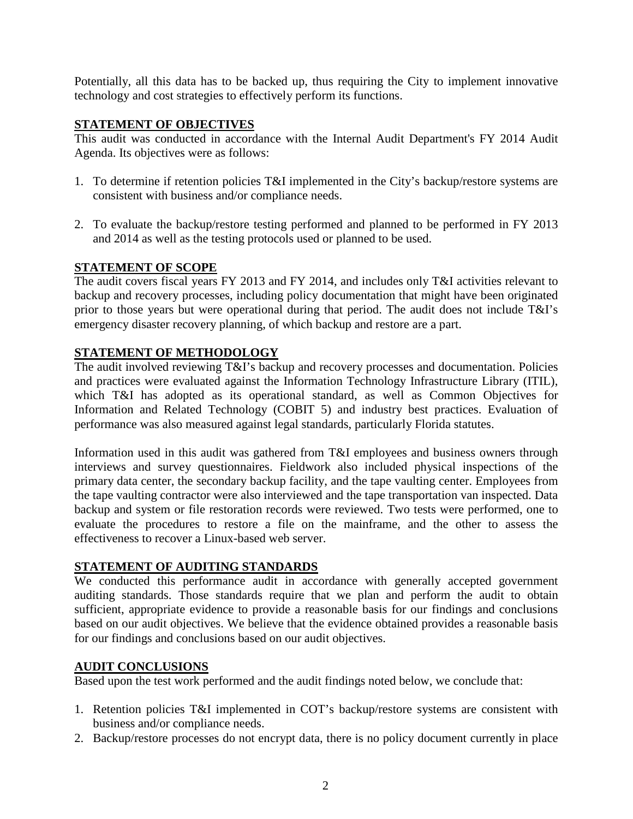Potentially, all this data has to be backed up, thus requiring the City to implement innovative technology and cost strategies to effectively perform its functions.

#### **STATEMENT OF OBJECTIVES**

 Agenda. Its objectives were as follows: This audit was conducted in accordance with the Internal Audit Department's FY 2014 Audit

- 1. To determine if retention policies T&I implemented in the City's backup/restore systems are consistent with business and/or compliance needs.
- 2. To evaluate the backup/restore testing performed and planned to be performed in FY 2013 and 2014 as well as the testing protocols used or planned to be used.

# **STATEMENT OF SCOPE**

The audit covers fiscal years FY 2013 and FY 2014, and includes only T&I activities relevant to backup and recovery processes, including policy documentation that might have been originated prior to those years but were operational during that period. The audit does not include T&I's emergency disaster recovery planning, of which backup and restore are a part.

#### **STATEMENT OF METHODOLOGY**

 Information and Related Technology (COBIT 5) and industry best practices. Evaluation of The audit involved reviewing T&I's backup and recovery processes and documentation. Policies and practices were evaluated against the Information Technology Infrastructure Library (ITIL), which T&I has adopted as its operational standard, as well as Common Objectives for performance was also measured against legal standards, particularly Florida statutes.

 primary data center, the secondary backup facility, and the tape vaulting center. Employees from Information used in this audit was gathered from T&I employees and business owners through interviews and survey questionnaires. Fieldwork also included physical inspections of the the tape vaulting contractor were also interviewed and the tape transportation van inspected. Data backup and system or file restoration records were reviewed. Two tests were performed, one to evaluate the procedures to restore a file on the mainframe, and the other to assess the effectiveness to recover a Linux-based web server.

# **STATEMENT OF AUDITING STANDARDS**

 We conducted this performance audit in accordance with generally accepted government auditing standards. Those standards require that we plan and perform the audit to obtain sufficient, appropriate evidence to provide a reasonable basis for our findings and conclusions based on our audit objectives. We believe that the evidence obtained provides a reasonable basis for our findings and conclusions based on our audit objectives.

#### **AUDIT CONCLUSIONS**

Based upon the test work performed and the audit findings noted below, we conclude that:

- 1. Retention policies T&I implemented in COT's backup/restore systems are consistent with business and/or compliance needs.
- 2. Backup/restore processes do not encrypt data, there is no policy document currently in place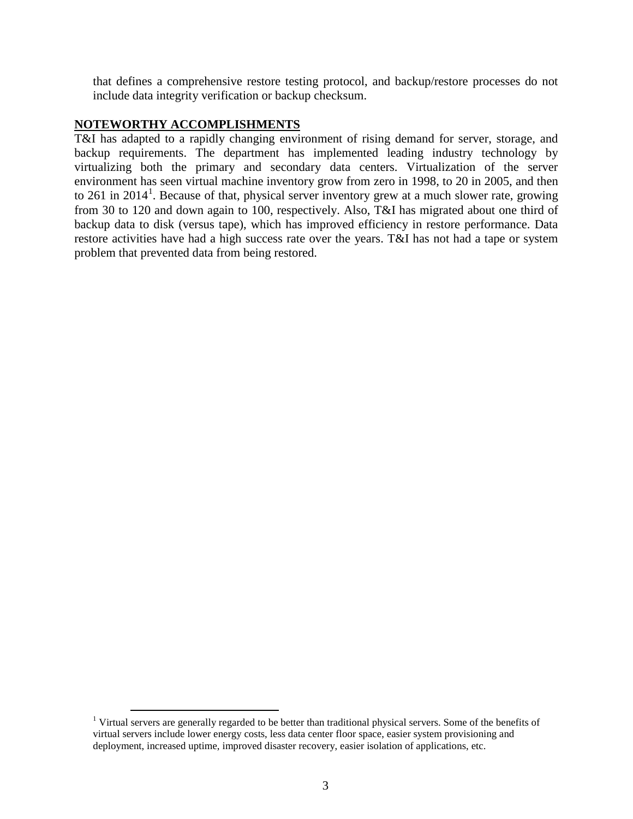that defines a comprehensive restore testing protocol, and backup/restore processes do not include data integrity verification or backup checksum.

# **NOTEWORTHY ACCOMPLISHMENTS**

 $\overline{a}$ 

T&I has adapted to a rapidly changing environment of rising demand for server, storage, and backup requirements. The department has implemented leading industry technology by virtualizing both the primary and secondary data centers. Virtualization of the server environment has seen virtual machine inventory grow from zero in 1998, to 20 in 2005, and then to 26[1](#page-5-0) in 2014<sup>1</sup>. Because of that, physical server inventory grew at a much slower rate, growing from 30 to 120 and down again to 100, respectively. Also, T&I has migrated about one third of backup data to disk (versus tape), which has improved efficiency in restore performance. Data restore activities have had a high success rate over the years. T&I has not had a tape or system problem that prevented data from being restored.

<span id="page-5-0"></span><sup>&</sup>lt;sup>1</sup> Virtual servers are generally regarded to be better than traditional physical servers. Some of the benefits of virtual servers include lower energy costs, less data center floor space, easier system provisioning and deployment, increased uptime, improved disaster recovery, easier isolation of applications, etc.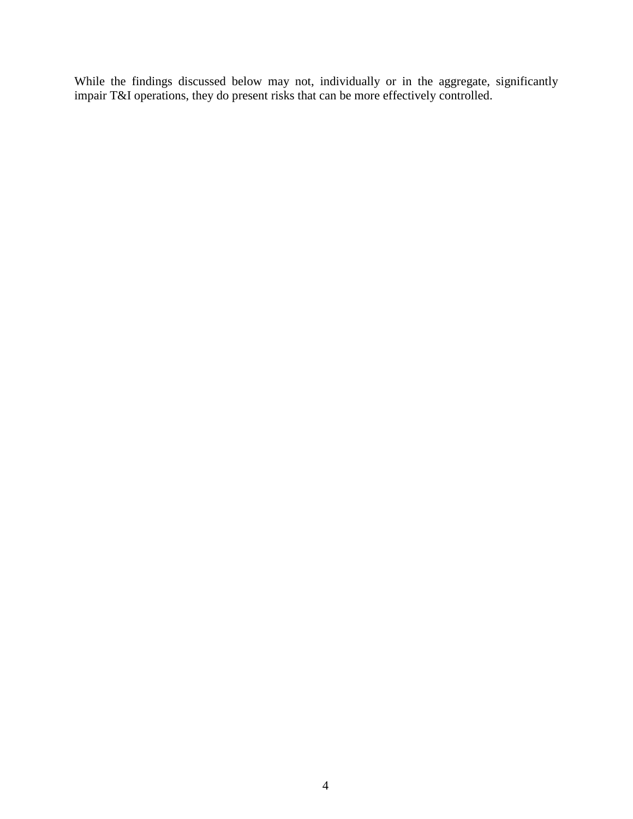While the findings discussed below may not, individually or in the aggregate, significantly impair T&I operations, they do present risks that can be more effectively controlled.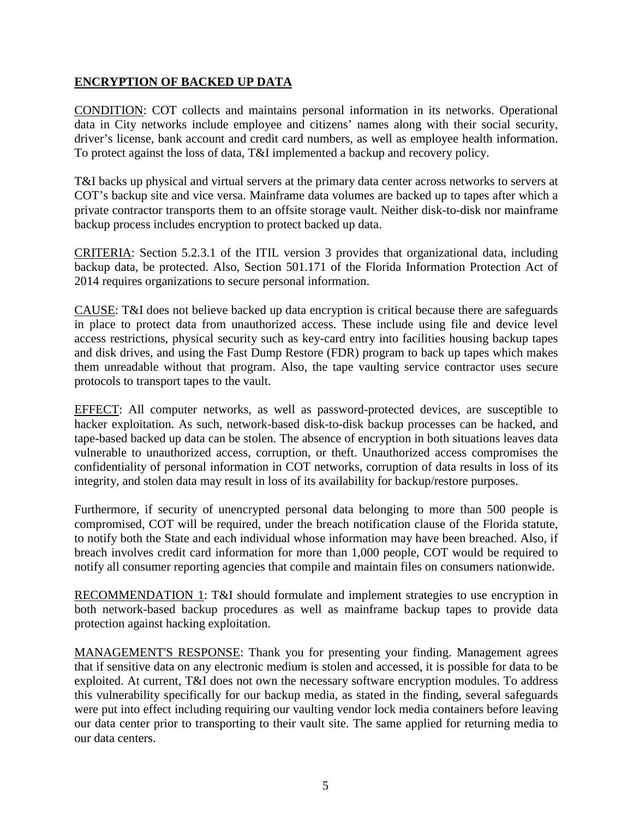# **ENCRYPTION OF BACKED UP DATA**

 data in City networks include employee and citizens' names along with their social security, CONDITION: COT collects and maintains personal information in its networks. Operational driver's license, bank account and credit card numbers, as well as employee health information. To protect against the loss of data, T&I implemented a backup and recovery policy.

 T&I backs up physical and virtual servers at the primary data center across networks to servers at COT's backup site and vice versa. Mainframe data volumes are backed up to tapes after which a private contractor transports them to an offsite storage vault. Neither disk-to-disk nor mainframe backup process includes encryption to protect backed up data.

CRITERIA: Section 5.2.3.1 of the ITIL version 3 provides that organizational data, including backup data, be protected. Also, Section 501.171 of the Florida Information Protection Act of 2014 requires organizations to secure personal information.

CAUSE: T&I does not believe backed up data encryption is critical because there are safeguards in place to protect data from unauthorized access. These include using file and device level access restrictions, physical security such as key-card entry into facilities housing backup tapes and disk drives, and using the Fast Dump Restore (FDR) program to back up tapes which makes them unreadable without that program. Also, the tape vaulting service contractor uses secure protocols to transport tapes to the vault.

EFFECT: All computer networks, as well as password-protected devices, are susceptible to hacker exploitation. As such, network-based disk-to-disk backup processes can be hacked, and tape-based backed up data can be stolen. The absence of encryption in both situations leaves data vulnerable to unauthorized access, corruption, or theft. Unauthorized access compromises the confidentiality of personal information in COT networks, corruption of data results in loss of its integrity, and stolen data may result in loss of its availability for backup/restore purposes.

Furthermore, if security of unencrypted personal data belonging to more than 500 people is compromised, COT will be required, under the breach notification clause of the Florida statute, to notify both the State and each individual whose information may have been breached. Also, if breach involves credit card information for more than 1,000 people, COT would be required to notify all consumer reporting agencies that compile and maintain files on consumers nationwide.

RECOMMENDATION 1: T&I should formulate and implement strategies to use encryption in both network-based backup procedures as well as mainframe backup tapes to provide data protection against hacking exploitation.

 that if sensitive data on any electronic medium is stolen and accessed, it is possible for data to be MANAGEMENT'S RESPONSE: Thank you for presenting your finding. Management agrees exploited. At current, T&I does not own the necessary software encryption modules. To address this vulnerability specifically for our backup media, as stated in the finding, several safeguards were put into effect including requiring our vaulting vendor lock media containers before leaving our data center prior to transporting to their vault site. The same applied for returning media to our data centers.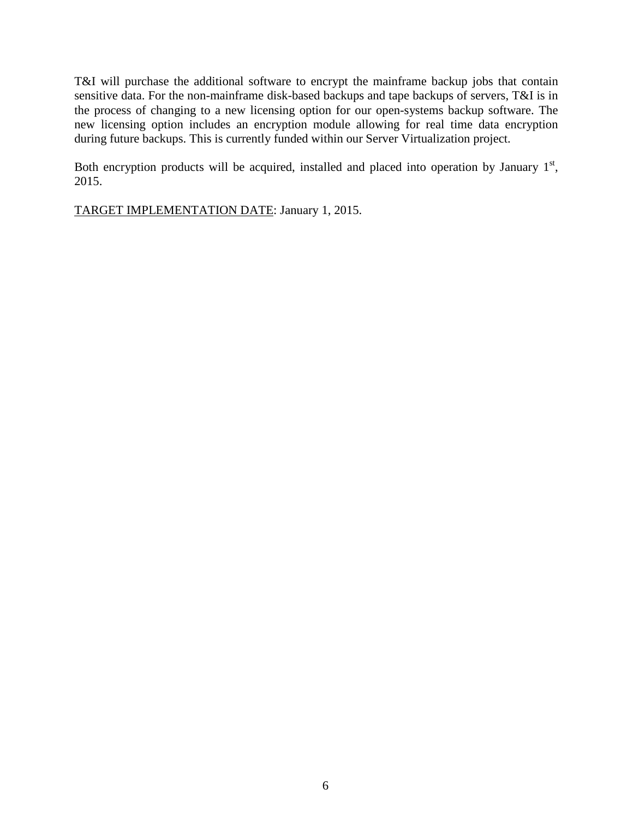T&I will purchase the additional software to encrypt the mainframe backup jobs that contain sensitive data. For the non-mainframe disk-based backups and tape backups of servers, T&I is in the process of changing to a new licensing option for our open-systems backup software. The new licensing option includes an encryption module allowing for real time data encryption during future backups. This is currently funded within our Server Virtualization project.

Both encryption products will be acquired, installed and placed into operation by January  $1<sup>st</sup>$ , 2015.

TARGET IMPLEMENTATION DATE: January 1, 2015.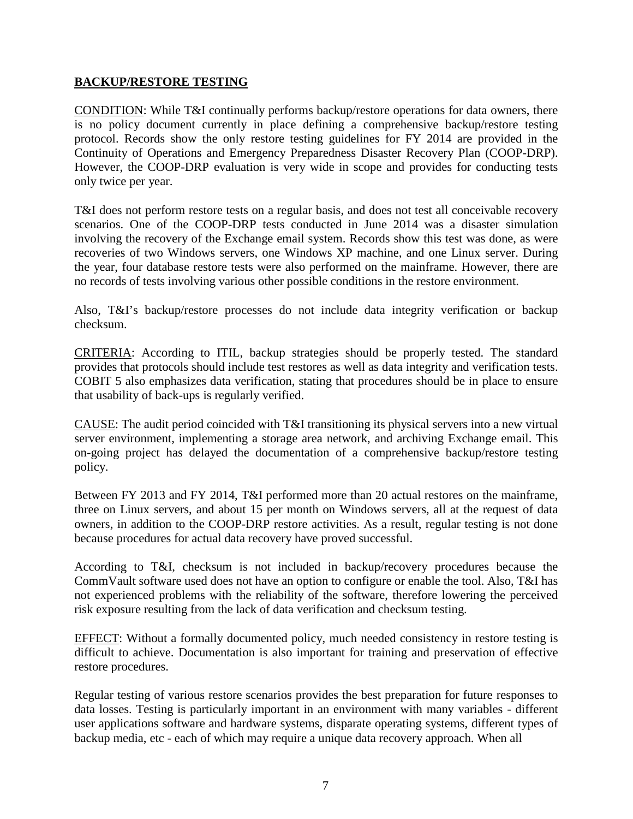## **BACKUP/RESTORE TESTING**

 protocol. Records show the only restore testing guidelines for FY 2014 are provided in the only twice per year. CONDITION: While T&I continually performs backup/restore operations for data owners, there is no policy document currently in place defining a comprehensive backup/restore testing Continuity of Operations and Emergency Preparedness Disaster Recovery Plan (COOP-DRP). However, the COOP-DRP evaluation is very wide in scope and provides for conducting tests

T&I does not perform restore tests on a regular basis, and does not test all conceivable recovery scenarios. One of the COOP-DRP tests conducted in June 2014 was a disaster simulation involving the recovery of the Exchange email system. Records show this test was done, as were recoveries of two Windows servers, one Windows XP machine, and one Linux server. During the year, four database restore tests were also performed on the mainframe. However, there are no records of tests involving various other possible conditions in the restore environment.

Also, T&I's backup/restore processes do not include data integrity verification or backup checksum.

CRITERIA: According to ITIL, backup strategies should be properly tested. The standard provides that protocols should include test restores as well as data integrity and verification tests. COBIT 5 also emphasizes data verification, stating that procedures should be in place to ensure that usability of back-ups is regularly verified.

 server environment, implementing a storage area network, and archiving Exchange email. This CAUSE: The audit period coincided with T&I transitioning its physical servers into a new virtual on-going project has delayed the documentation of a comprehensive backup/restore testing policy.

Between FY 2013 and FY 2014, T&I performed more than 20 actual restores on the mainframe, three on Linux servers, and about 15 per month on Windows servers, all at the request of data owners, in addition to the COOP-DRP restore activities. As a result, regular testing is not done because procedures for actual data recovery have proved successful.

According to T&I, checksum is not included in backup/recovery procedures because the CommVault software used does not have an option to configure or enable the tool. Also, T&I has not experienced problems with the reliability of the software, therefore lowering the perceived risk exposure resulting from the lack of data verification and checksum testing.

 difficult to achieve. Documentation is also important for training and preservation of effective EFFECT: Without a formally documented policy, much needed consistency in restore testing is restore procedures.

 Regular testing of various restore scenarios provides the best preparation for future responses to data losses. Testing is particularly important in an environment with many variables - different backup media, etc - each of which may require a unique data recovery approach. When all  $7$ user applications software and hardware systems, disparate operating systems, different types of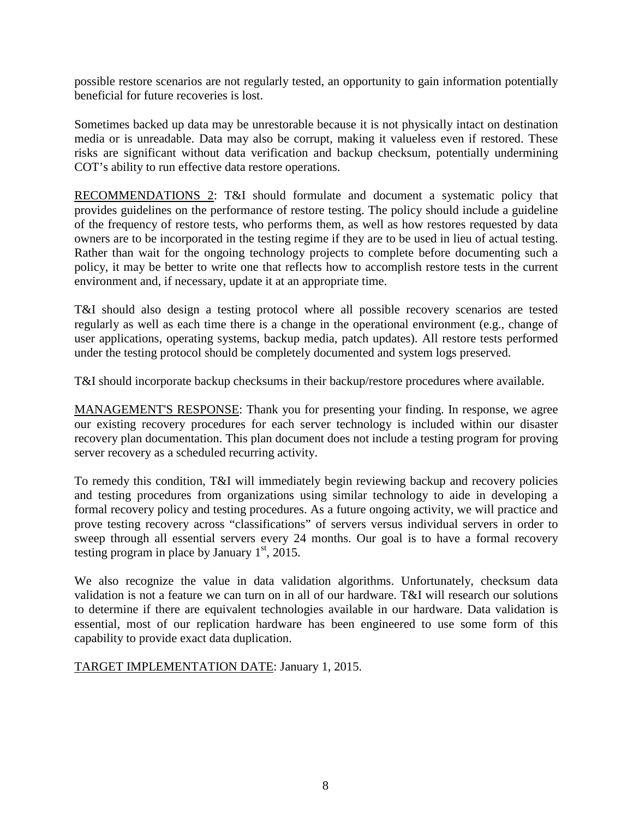possible restore scenarios are not regularly tested, an opportunity to gain information potentially beneficial for future recoveries is lost.

COT's ability to run effective data restore operations. Sometimes backed up data may be unrestorable because it is not physically intact on destination media or is unreadable. Data may also be corrupt, making it valueless even if restored. These risks are significant without data verification and backup checksum, potentially undermining

RECOMMENDATIONS 2: T&I should formulate and document a systematic policy that provides guidelines on the performance of restore testing. The policy should include a guideline of the frequency of restore tests, who performs them, as well as how restores requested by data owners are to be incorporated in the testing regime if they are to be used in lieu of actual testing. Rather than wait for the ongoing technology projects to complete before documenting such a policy, it may be better to write one that reflects how to accomplish restore tests in the current environment and, if necessary, update it at an appropriate time.

T&I should also design a testing protocol where all possible recovery scenarios are tested regularly as well as each time there is a change in the operational environment (e.g., change of user applications, operating systems, backup media, patch updates). All restore tests performed under the testing protocol should be completely documented and system logs preserved.

T&I should incorporate backup checksums in their backup/restore procedures where available.

MANAGEMENT'S RESPONSE: Thank you for presenting your finding. In response, we agree server recovery as a scheduled recurring activity. our existing recovery procedures for each server technology is included within our disaster recovery plan documentation. This plan document does not include a testing program for proving

 sweep through all essential servers every 24 months. Our goal is to have a formal recovery To remedy this condition, T&I will immediately begin reviewing backup and recovery policies and testing procedures from organizations using similar technology to aide in developing a formal recovery policy and testing procedures. As a future ongoing activity, we will practice and prove testing recovery across "classifications" of servers versus individual servers in order to testing program in place by January  $1<sup>st</sup>$ , 2015.

 to determine if there are equivalent technologies available in our hardware. Data validation is We also recognize the value in data validation algorithms. Unfortunately, checksum data validation is not a feature we can turn on in all of our hardware. T&I will research our solutions essential, most of our replication hardware has been engineered to use some form of this capability to provide exact data duplication.

TARGET IMPLEMENTATION DATE: January 1, 2015.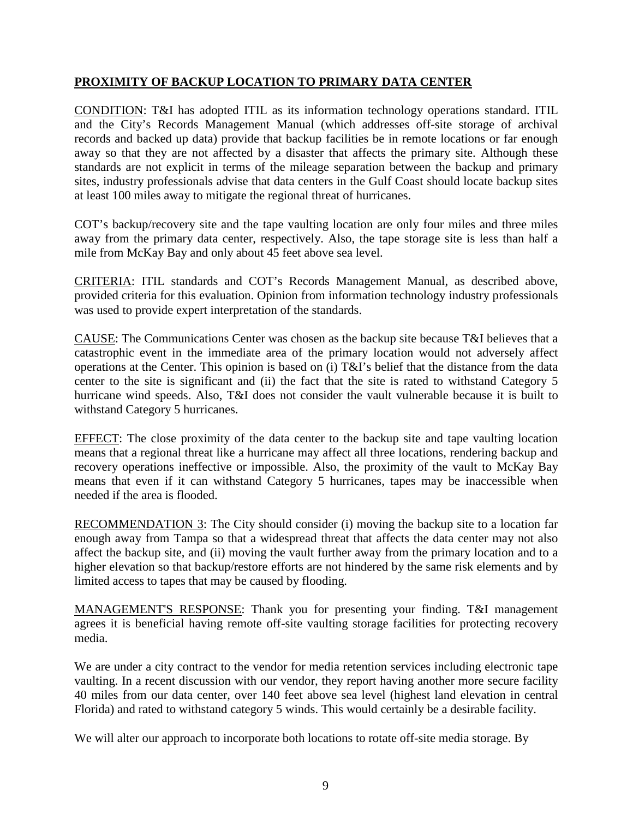## **PROXIMITY OF BACKUP LOCATION TO PRIMARY DATA CENTER**

CONDITION: T&I has adopted ITIL as its information technology operations standard. ITIL and the City's Records Management Manual (which addresses off-site storage of archival records and backed up data) provide that backup facilities be in remote locations or far enough away so that they are not affected by a disaster that affects the primary site. Although these standards are not explicit in terms of the mileage separation between the backup and primary sites, industry professionals advise that data centers in the Gulf Coast should locate backup sites at least 100 miles away to mitigate the regional threat of hurricanes.

 COT's backup/recovery site and the tape vaulting location are only four miles and three miles mile from McKay Bay and only about 45 feet above sea level. away from the primary data center, respectively. Also, the tape storage site is less than half a

CRITERIA: ITIL standards and COT's Records Management Manual, as described above, provided criteria for this evaluation. Opinion from information technology industry professionals was used to provide expert interpretation of the standards.

CAUSE: The Communications Center was chosen as the backup site because T&I believes that a catastrophic event in the immediate area of the primary location would not adversely affect operations at the Center. This opinion is based on (i) T&I's belief that the distance from the data center to the site is significant and (ii) the fact that the site is rated to withstand Category 5 hurricane wind speeds. Also, T&I does not consider the vault vulnerable because it is built to withstand Category 5 hurricanes.

 means that a regional threat like a hurricane may affect all three locations, rendering backup and recovery operations ineffective or impossible. Also, the proximity of the vault to McKay Bay EFFECT: The close proximity of the data center to the backup site and tape vaulting location means that even if it can withstand Category 5 hurricanes, tapes may be inaccessible when needed if the area is flooded.

 affect the backup site, and (ii) moving the vault further away from the primary location and to a higher elevation so that backup/restore efforts are not hindered by the same risk elements and by RECOMMENDATION 3: The City should consider (i) moving the backup site to a location far enough away from Tampa so that a widespread threat that affects the data center may not also limited access to tapes that may be caused by flooding.

 agrees it is beneficial having remote off-site vaulting storage facilities for protecting recovery media. MANAGEMENT'S RESPONSE: Thank you for presenting your finding. T&I management

We are under a city contract to the vendor for media retention services including electronic tape vaulting. In a recent discussion with our vendor, they report having another more secure facility 40 miles from our data center, over 140 feet above sea level (highest land elevation in central Florida) and rated to withstand category 5 winds. This would certainly be a desirable facility.

We will alter our approach to incorporate both locations to rotate off-site media storage. By